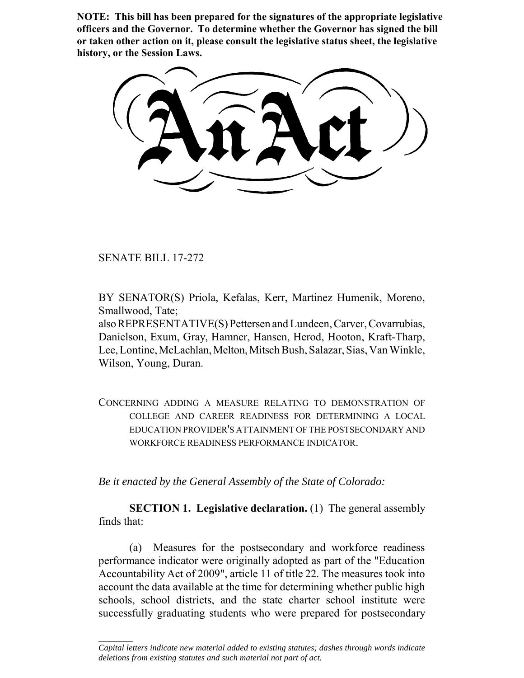**NOTE: This bill has been prepared for the signatures of the appropriate legislative officers and the Governor. To determine whether the Governor has signed the bill or taken other action on it, please consult the legislative status sheet, the legislative history, or the Session Laws.**

SENATE BILL 17-272

 $\frac{1}{2}$ 

BY SENATOR(S) Priola, Kefalas, Kerr, Martinez Humenik, Moreno, Smallwood, Tate;

also REPRESENTATIVE(S) Pettersen and Lundeen, Carver, Covarrubias, Danielson, Exum, Gray, Hamner, Hansen, Herod, Hooton, Kraft-Tharp, Lee, Lontine, McLachlan, Melton, Mitsch Bush, Salazar, Sias, Van Winkle, Wilson, Young, Duran.

CONCERNING ADDING A MEASURE RELATING TO DEMONSTRATION OF COLLEGE AND CAREER READINESS FOR DETERMINING A LOCAL EDUCATION PROVIDER'S ATTAINMENT OF THE POSTSECONDARY AND WORKFORCE READINESS PERFORMANCE INDICATOR.

*Be it enacted by the General Assembly of the State of Colorado:*

**SECTION 1. Legislative declaration.** (1) The general assembly finds that:

(a) Measures for the postsecondary and workforce readiness performance indicator were originally adopted as part of the "Education Accountability Act of 2009", article 11 of title 22. The measures took into account the data available at the time for determining whether public high schools, school districts, and the state charter school institute were successfully graduating students who were prepared for postsecondary

*Capital letters indicate new material added to existing statutes; dashes through words indicate deletions from existing statutes and such material not part of act.*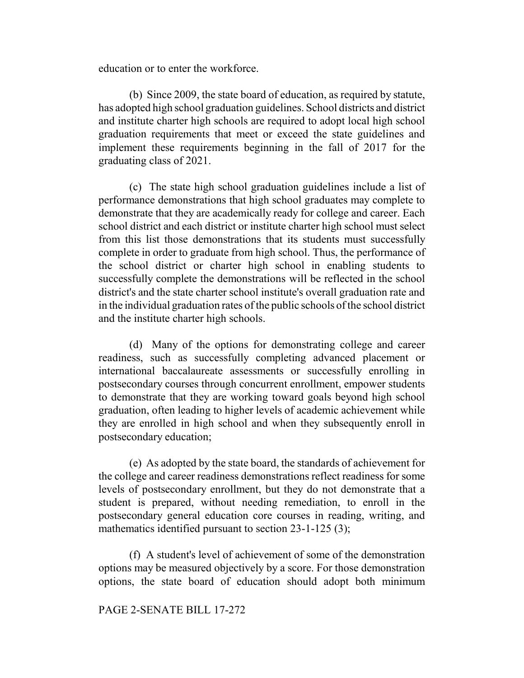education or to enter the workforce.

(b) Since 2009, the state board of education, as required by statute, has adopted high school graduation guidelines. School districts and district and institute charter high schools are required to adopt local high school graduation requirements that meet or exceed the state guidelines and implement these requirements beginning in the fall of 2017 for the graduating class of 2021.

(c) The state high school graduation guidelines include a list of performance demonstrations that high school graduates may complete to demonstrate that they are academically ready for college and career. Each school district and each district or institute charter high school must select from this list those demonstrations that its students must successfully complete in order to graduate from high school. Thus, the performance of the school district or charter high school in enabling students to successfully complete the demonstrations will be reflected in the school district's and the state charter school institute's overall graduation rate and in the individual graduation rates of the public schools of the school district and the institute charter high schools.

(d) Many of the options for demonstrating college and career readiness, such as successfully completing advanced placement or international baccalaureate assessments or successfully enrolling in postsecondary courses through concurrent enrollment, empower students to demonstrate that they are working toward goals beyond high school graduation, often leading to higher levels of academic achievement while they are enrolled in high school and when they subsequently enroll in postsecondary education;

(e) As adopted by the state board, the standards of achievement for the college and career readiness demonstrations reflect readiness for some levels of postsecondary enrollment, but they do not demonstrate that a student is prepared, without needing remediation, to enroll in the postsecondary general education core courses in reading, writing, and mathematics identified pursuant to section 23-1-125 (3);

(f) A student's level of achievement of some of the demonstration options may be measured objectively by a score. For those demonstration options, the state board of education should adopt both minimum

#### PAGE 2-SENATE BILL 17-272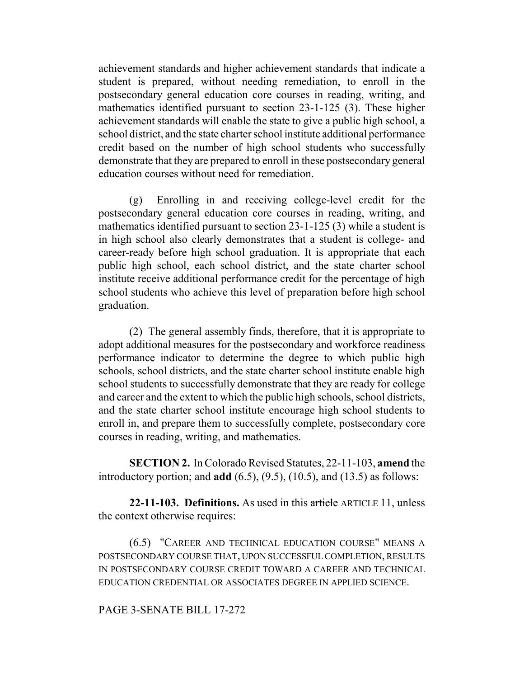achievement standards and higher achievement standards that indicate a student is prepared, without needing remediation, to enroll in the postsecondary general education core courses in reading, writing, and mathematics identified pursuant to section 23-1-125 (3). These higher achievement standards will enable the state to give a public high school, a school district, and the state charter school institute additional performance credit based on the number of high school students who successfully demonstrate that they are prepared to enroll in these postsecondary general education courses without need for remediation.

(g) Enrolling in and receiving college-level credit for the postsecondary general education core courses in reading, writing, and mathematics identified pursuant to section 23-1-125 (3) while a student is in high school also clearly demonstrates that a student is college- and career-ready before high school graduation. It is appropriate that each public high school, each school district, and the state charter school institute receive additional performance credit for the percentage of high school students who achieve this level of preparation before high school graduation.

(2) The general assembly finds, therefore, that it is appropriate to adopt additional measures for the postsecondary and workforce readiness performance indicator to determine the degree to which public high schools, school districts, and the state charter school institute enable high school students to successfully demonstrate that they are ready for college and career and the extent to which the public high schools, school districts, and the state charter school institute encourage high school students to enroll in, and prepare them to successfully complete, postsecondary core courses in reading, writing, and mathematics.

**SECTION 2.** In Colorado Revised Statutes, 22-11-103, **amend** the introductory portion; and **add** (6.5), (9.5), (10.5), and (13.5) as follows:

**22-11-103. Definitions.** As used in this article ARTICLE 11, unless the context otherwise requires:

(6.5) "CAREER AND TECHNICAL EDUCATION COURSE" MEANS A POSTSECONDARY COURSE THAT, UPON SUCCESSFUL COMPLETION, RESULTS IN POSTSECONDARY COURSE CREDIT TOWARD A CAREER AND TECHNICAL EDUCATION CREDENTIAL OR ASSOCIATES DEGREE IN APPLIED SCIENCE.

### PAGE 3-SENATE BILL 17-272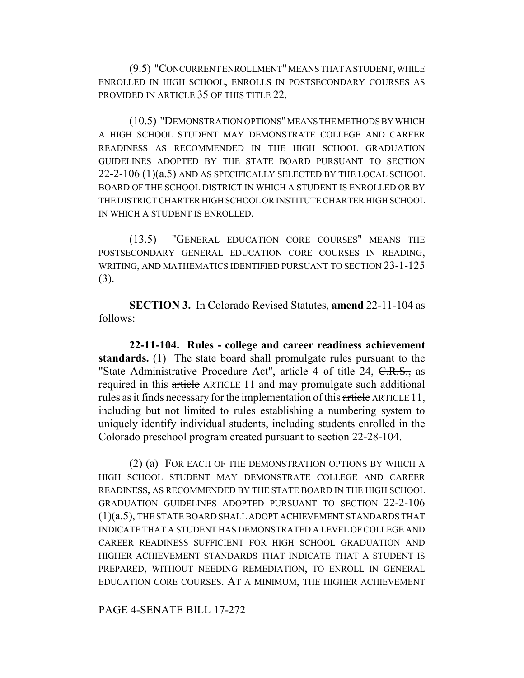(9.5) "CONCURRENT ENROLLMENT" MEANS THAT A STUDENT, WHILE ENROLLED IN HIGH SCHOOL, ENROLLS IN POSTSECONDARY COURSES AS PROVIDED IN ARTICLE 35 OF THIS TITLE 22.

(10.5) "DEMONSTRATION OPTIONS" MEANS THE METHODS BY WHICH A HIGH SCHOOL STUDENT MAY DEMONSTRATE COLLEGE AND CAREER READINESS AS RECOMMENDED IN THE HIGH SCHOOL GRADUATION GUIDELINES ADOPTED BY THE STATE BOARD PURSUANT TO SECTION 22-2-106 (1)(a.5) AND AS SPECIFICALLY SELECTED BY THE LOCAL SCHOOL BOARD OF THE SCHOOL DISTRICT IN WHICH A STUDENT IS ENROLLED OR BY THE DISTRICT CHARTER HIGH SCHOOL OR INSTITUTE CHARTER HIGH SCHOOL IN WHICH A STUDENT IS ENROLLED.

(13.5) "GENERAL EDUCATION CORE COURSES" MEANS THE POSTSECONDARY GENERAL EDUCATION CORE COURSES IN READING, WRITING, AND MATHEMATICS IDENTIFIED PURSUANT TO SECTION 23-1-125 (3).

**SECTION 3.** In Colorado Revised Statutes, **amend** 22-11-104 as follows:

**22-11-104. Rules - college and career readiness achievement standards.** (1) The state board shall promulgate rules pursuant to the "State Administrative Procedure Act", article 4 of title 24, C.R.S., as required in this article ARTICLE 11 and may promulgate such additional rules as it finds necessary for the implementation of this article ARTICLE 11, including but not limited to rules establishing a numbering system to uniquely identify individual students, including students enrolled in the Colorado preschool program created pursuant to section 22-28-104.

(2) (a) FOR EACH OF THE DEMONSTRATION OPTIONS BY WHICH A HIGH SCHOOL STUDENT MAY DEMONSTRATE COLLEGE AND CAREER READINESS, AS RECOMMENDED BY THE STATE BOARD IN THE HIGH SCHOOL GRADUATION GUIDELINES ADOPTED PURSUANT TO SECTION 22-2-106 (1)(a.5), THE STATE BOARD SHALL ADOPT ACHIEVEMENT STANDARDS THAT INDICATE THAT A STUDENT HAS DEMONSTRATED A LEVEL OF COLLEGE AND CAREER READINESS SUFFICIENT FOR HIGH SCHOOL GRADUATION AND HIGHER ACHIEVEMENT STANDARDS THAT INDICATE THAT A STUDENT IS PREPARED, WITHOUT NEEDING REMEDIATION, TO ENROLL IN GENERAL EDUCATION CORE COURSES. AT A MINIMUM, THE HIGHER ACHIEVEMENT

PAGE 4-SENATE BILL 17-272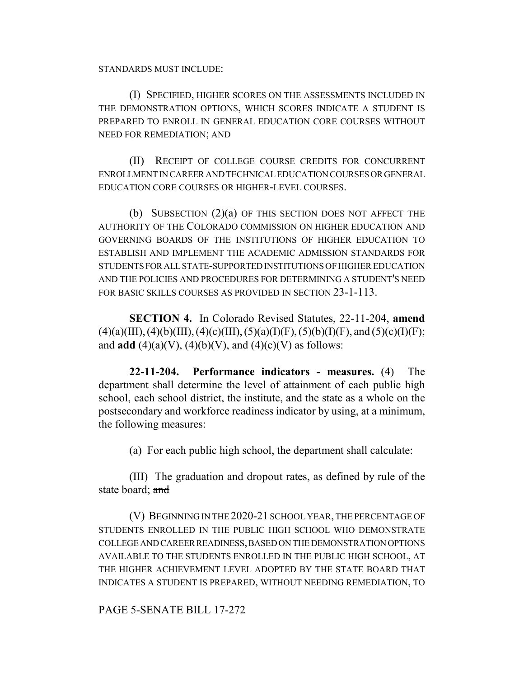STANDARDS MUST INCLUDE:

(I) SPECIFIED, HIGHER SCORES ON THE ASSESSMENTS INCLUDED IN THE DEMONSTRATION OPTIONS, WHICH SCORES INDICATE A STUDENT IS PREPARED TO ENROLL IN GENERAL EDUCATION CORE COURSES WITHOUT NEED FOR REMEDIATION; AND

(II) RECEIPT OF COLLEGE COURSE CREDITS FOR CONCURRENT ENROLLMENT IN CAREER AND TECHNICAL EDUCATION COURSES OR GENERAL EDUCATION CORE COURSES OR HIGHER-LEVEL COURSES.

(b) SUBSECTION (2)(a) OF THIS SECTION DOES NOT AFFECT THE AUTHORITY OF THE COLORADO COMMISSION ON HIGHER EDUCATION AND GOVERNING BOARDS OF THE INSTITUTIONS OF HIGHER EDUCATION TO ESTABLISH AND IMPLEMENT THE ACADEMIC ADMISSION STANDARDS FOR STUDENTS FOR ALL STATE-SUPPORTED INSTITUTIONS OF HIGHER EDUCATION AND THE POLICIES AND PROCEDURES FOR DETERMINING A STUDENT'S NEED FOR BASIC SKILLS COURSES AS PROVIDED IN SECTION 23-1-113.

**SECTION 4.** In Colorado Revised Statutes, 22-11-204, **amend**  $(4)(a)(III)$ ,  $(4)(b)(III)$ ,  $(4)(c)(III)$ ,  $(5)(a)(I)(F)$ ,  $(5)(b)(I)(F)$ , and  $(5)(c)(I)(F)$ ; and **add** (4)(a)(V), (4)(b)(V), and (4)(c)(V) as follows:

**22-11-204. Performance indicators - measures.** (4) The department shall determine the level of attainment of each public high school, each school district, the institute, and the state as a whole on the postsecondary and workforce readiness indicator by using, at a minimum, the following measures:

(a) For each public high school, the department shall calculate:

(III) The graduation and dropout rates, as defined by rule of the state board; and

(V) BEGINNING IN THE 2020-21 SCHOOL YEAR, THE PERCENTAGE OF STUDENTS ENROLLED IN THE PUBLIC HIGH SCHOOL WHO DEMONSTRATE COLLEGE AND CAREER READINESS, BASED ON THE DEMONSTRATION OPTIONS AVAILABLE TO THE STUDENTS ENROLLED IN THE PUBLIC HIGH SCHOOL, AT THE HIGHER ACHIEVEMENT LEVEL ADOPTED BY THE STATE BOARD THAT INDICATES A STUDENT IS PREPARED, WITHOUT NEEDING REMEDIATION, TO

# PAGE 5-SENATE BILL 17-272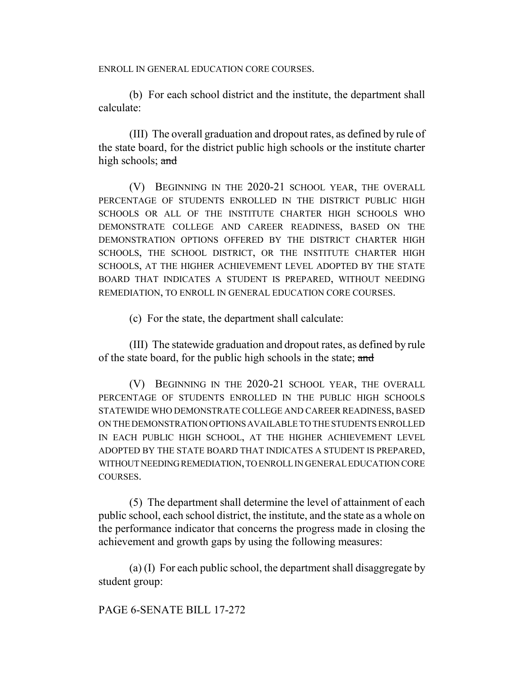ENROLL IN GENERAL EDUCATION CORE COURSES.

(b) For each school district and the institute, the department shall calculate:

(III) The overall graduation and dropout rates, as defined by rule of the state board, for the district public high schools or the institute charter high schools; and

(V) BEGINNING IN THE 2020-21 SCHOOL YEAR, THE OVERALL PERCENTAGE OF STUDENTS ENROLLED IN THE DISTRICT PUBLIC HIGH SCHOOLS OR ALL OF THE INSTITUTE CHARTER HIGH SCHOOLS WHO DEMONSTRATE COLLEGE AND CAREER READINESS, BASED ON THE DEMONSTRATION OPTIONS OFFERED BY THE DISTRICT CHARTER HIGH SCHOOLS, THE SCHOOL DISTRICT, OR THE INSTITUTE CHARTER HIGH SCHOOLS, AT THE HIGHER ACHIEVEMENT LEVEL ADOPTED BY THE STATE BOARD THAT INDICATES A STUDENT IS PREPARED, WITHOUT NEEDING REMEDIATION, TO ENROLL IN GENERAL EDUCATION CORE COURSES.

(c) For the state, the department shall calculate:

(III) The statewide graduation and dropout rates, as defined by rule of the state board, for the public high schools in the state; and

(V) BEGINNING IN THE 2020-21 SCHOOL YEAR, THE OVERALL PERCENTAGE OF STUDENTS ENROLLED IN THE PUBLIC HIGH SCHOOLS STATEWIDE WHO DEMONSTRATE COLLEGE AND CAREER READINESS, BASED ON THE DEMONSTRATION OPTIONS AVAILABLE TO THE STUDENTS ENROLLED IN EACH PUBLIC HIGH SCHOOL, AT THE HIGHER ACHIEVEMENT LEVEL ADOPTED BY THE STATE BOARD THAT INDICATES A STUDENT IS PREPARED, WITHOUT NEEDING REMEDIATION, TO ENROLL IN GENERAL EDUCATION CORE COURSES.

(5) The department shall determine the level of attainment of each public school, each school district, the institute, and the state as a whole on the performance indicator that concerns the progress made in closing the achievement and growth gaps by using the following measures:

(a) (I) For each public school, the department shall disaggregate by student group:

PAGE 6-SENATE BILL 17-272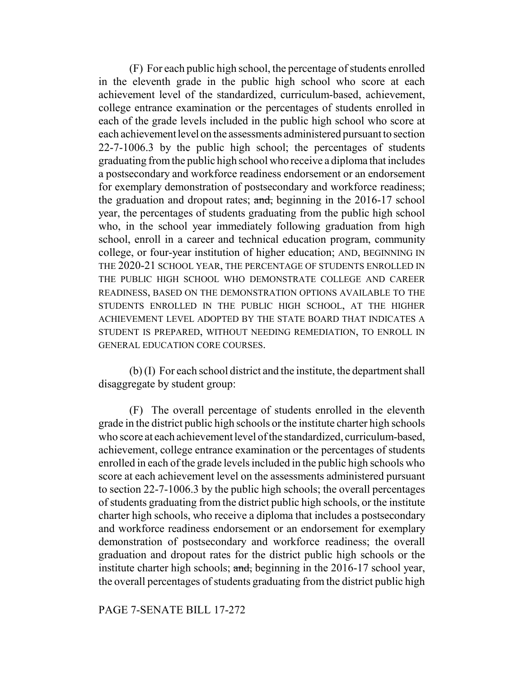(F) For each public high school, the percentage of students enrolled in the eleventh grade in the public high school who score at each achievement level of the standardized, curriculum-based, achievement, college entrance examination or the percentages of students enrolled in each of the grade levels included in the public high school who score at each achievement level on the assessments administered pursuant to section 22-7-1006.3 by the public high school; the percentages of students graduating from the public high school who receive a diploma that includes a postsecondary and workforce readiness endorsement or an endorsement for exemplary demonstration of postsecondary and workforce readiness; the graduation and dropout rates; and, beginning in the 2016-17 school year, the percentages of students graduating from the public high school who, in the school year immediately following graduation from high school, enroll in a career and technical education program, community college, or four-year institution of higher education; AND, BEGINNING IN THE 2020-21 SCHOOL YEAR, THE PERCENTAGE OF STUDENTS ENROLLED IN THE PUBLIC HIGH SCHOOL WHO DEMONSTRATE COLLEGE AND CAREER READINESS, BASED ON THE DEMONSTRATION OPTIONS AVAILABLE TO THE STUDENTS ENROLLED IN THE PUBLIC HIGH SCHOOL, AT THE HIGHER ACHIEVEMENT LEVEL ADOPTED BY THE STATE BOARD THAT INDICATES A STUDENT IS PREPARED, WITHOUT NEEDING REMEDIATION, TO ENROLL IN GENERAL EDUCATION CORE COURSES.

(b) (I) For each school district and the institute, the department shall disaggregate by student group:

(F) The overall percentage of students enrolled in the eleventh grade in the district public high schools or the institute charter high schools who score at each achievement level of the standardized, curriculum-based, achievement, college entrance examination or the percentages of students enrolled in each of the grade levels included in the public high schools who score at each achievement level on the assessments administered pursuant to section 22-7-1006.3 by the public high schools; the overall percentages of students graduating from the district public high schools, or the institute charter high schools, who receive a diploma that includes a postsecondary and workforce readiness endorsement or an endorsement for exemplary demonstration of postsecondary and workforce readiness; the overall graduation and dropout rates for the district public high schools or the institute charter high schools; and, beginning in the 2016-17 school year, the overall percentages of students graduating from the district public high

### PAGE 7-SENATE BILL 17-272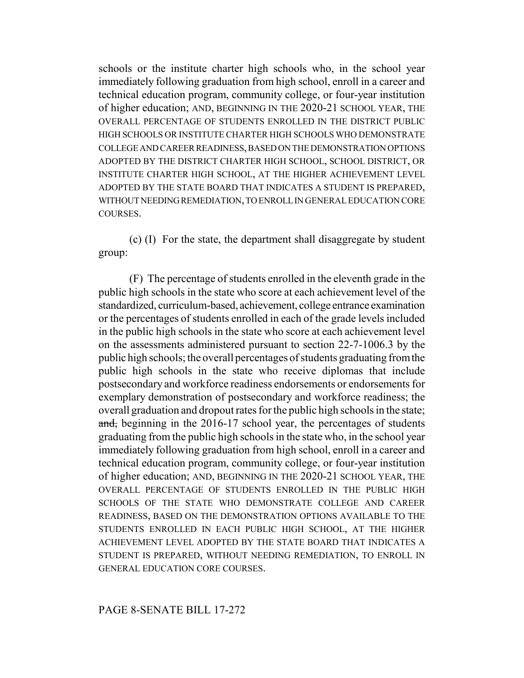schools or the institute charter high schools who, in the school year immediately following graduation from high school, enroll in a career and technical education program, community college, or four-year institution of higher education; AND, BEGINNING IN THE 2020-21 SCHOOL YEAR, THE OVERALL PERCENTAGE OF STUDENTS ENROLLED IN THE DISTRICT PUBLIC HIGH SCHOOLS OR INSTITUTE CHARTER HIGH SCHOOLS WHO DEMONSTRATE COLLEGE AND CAREER READINESS, BASED ON THE DEMONSTRATION OPTIONS ADOPTED BY THE DISTRICT CHARTER HIGH SCHOOL, SCHOOL DISTRICT, OR INSTITUTE CHARTER HIGH SCHOOL, AT THE HIGHER ACHIEVEMENT LEVEL ADOPTED BY THE STATE BOARD THAT INDICATES A STUDENT IS PREPARED, WITHOUT NEEDING REMEDIATION, TO ENROLL IN GENERAL EDUCATION CORE COURSES.

(c) (I) For the state, the department shall disaggregate by student group:

(F) The percentage of students enrolled in the eleventh grade in the public high schools in the state who score at each achievement level of the standardized, curriculum-based, achievement, college entrance examination or the percentages of students enrolled in each of the grade levels included in the public high schools in the state who score at each achievement level on the assessments administered pursuant to section 22-7-1006.3 by the public high schools; the overall percentages of students graduating from the public high schools in the state who receive diplomas that include postsecondary and workforce readiness endorsements or endorsements for exemplary demonstration of postsecondary and workforce readiness; the overall graduation and dropout rates for the public high schools in the state; and, beginning in the 2016-17 school year, the percentages of students graduating from the public high schools in the state who, in the school year immediately following graduation from high school, enroll in a career and technical education program, community college, or four-year institution of higher education; AND, BEGINNING IN THE 2020-21 SCHOOL YEAR, THE OVERALL PERCENTAGE OF STUDENTS ENROLLED IN THE PUBLIC HIGH SCHOOLS OF THE STATE WHO DEMONSTRATE COLLEGE AND CAREER READINESS, BASED ON THE DEMONSTRATION OPTIONS AVAILABLE TO THE STUDENTS ENROLLED IN EACH PUBLIC HIGH SCHOOL, AT THE HIGHER ACHIEVEMENT LEVEL ADOPTED BY THE STATE BOARD THAT INDICATES A STUDENT IS PREPARED, WITHOUT NEEDING REMEDIATION, TO ENROLL IN GENERAL EDUCATION CORE COURSES.

# PAGE 8-SENATE BILL 17-272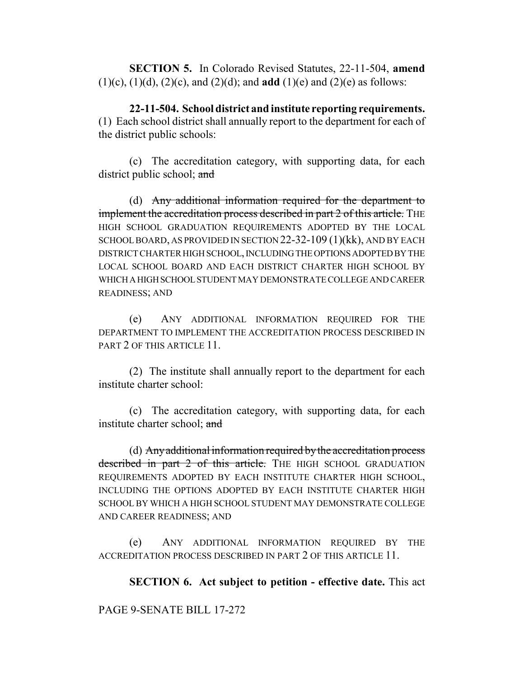**SECTION 5.** In Colorado Revised Statutes, 22-11-504, **amend** (1)(c), (1)(d), (2)(c), and (2)(d); and **add** (1)(e) and (2)(e) as follows:

**22-11-504. School district and institute reporting requirements.** (1) Each school district shall annually report to the department for each of the district public schools:

(c) The accreditation category, with supporting data, for each district public school; and

(d) Any additional information required for the department to implement the accreditation process described in part 2 of this article. THE HIGH SCHOOL GRADUATION REQUIREMENTS ADOPTED BY THE LOCAL SCHOOL BOARD, AS PROVIDED IN SECTION 22-32-109 (1)(kk), AND BY EACH DISTRICT CHARTER HIGH SCHOOL, INCLUDING THE OPTIONS ADOPTED BY THE LOCAL SCHOOL BOARD AND EACH DISTRICT CHARTER HIGH SCHOOL BY WHICH A HIGH SCHOOL STUDENT MAY DEMONSTRATE COLLEGE AND CAREER READINESS; AND

(e) ANY ADDITIONAL INFORMATION REQUIRED FOR THE DEPARTMENT TO IMPLEMENT THE ACCREDITATION PROCESS DESCRIBED IN PART 2 OF THIS ARTICLE 11.

(2) The institute shall annually report to the department for each institute charter school:

(c) The accreditation category, with supporting data, for each institute charter school; and

(d) Any additional information required by the accreditation process described in part 2 of this article. THE HIGH SCHOOL GRADUATION REQUIREMENTS ADOPTED BY EACH INSTITUTE CHARTER HIGH SCHOOL, INCLUDING THE OPTIONS ADOPTED BY EACH INSTITUTE CHARTER HIGH SCHOOL BY WHICH A HIGH SCHOOL STUDENT MAY DEMONSTRATE COLLEGE AND CAREER READINESS; AND

(e) ANY ADDITIONAL INFORMATION REQUIRED BY THE ACCREDITATION PROCESS DESCRIBED IN PART 2 OF THIS ARTICLE 11.

**SECTION 6. Act subject to petition - effective date.** This act

PAGE 9-SENATE BILL 17-272